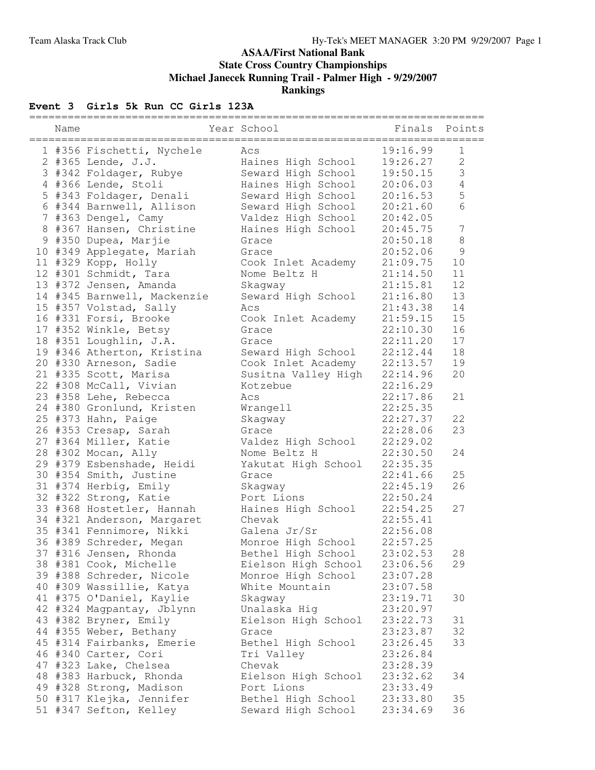## **ASAA/First National Bank State Cross Country Championships Michael Janecek Running Trail - Palmer High - 9/29/2007 Rankings**

# **Event 3 Girls 5k Run CC Girls 123A**

| ========== |                                   | _____________________________ |                  |                  |
|------------|-----------------------------------|-------------------------------|------------------|------------------|
| Name       | . = = = = = = = = = = = = = = = = | Year School                   | Finals<br>------ | Points           |
|            | 1 #356 Fischetti, Nychele         | Acs                           | 19:16.99         | $\mathbf{1}$     |
|            | 2 #365 Lende, J.J.                | Haines High School            | 19:26.27         | $\mathbf 2$      |
|            | 3 #342 Foldager, Rubye            | Seward High School            | 19:50.15         | $\mathfrak{Z}$   |
|            | 4 #366 Lende, Stoli               | Haines High School            | 20:06.03         | $\overline{4}$   |
|            | 5 #343 Foldager, Denali           | Seward High School            | 20:16.53         | 5                |
|            | 6 #344 Barnwell, Allison          | Seward High School            | 20:21.60         | 6                |
|            | 7 #363 Dengel, Camy               | Valdez High School            | 20:42.05         |                  |
|            | 8 #367 Hansen, Christine          | Haines High School            | 20:45.75         | $\boldsymbol{7}$ |
|            | 9 #350 Dupea, Marjie              | Grace                         | 20:50.18         | $\,8\,$          |
|            | 10 #349 Applegate, Mariah         | Grace                         | 20:52.06         | $\mathcal{G}$    |
|            | 11 #329 Kopp, Holly               | Cook Inlet Academy            | 21:09.75         | 10               |
|            | 12 #301 Schmidt, Tara             | Nome Beltz H                  | 21:14.50         | 11               |
|            | 13 #372 Jensen, Amanda            | Skagway                       | 21:15.81         | 12               |
|            | 14 #345 Barnwell, Mackenzie       | Seward High School            | 21:16.80         | 13               |
|            | 15 #357 Volstad, Sally            | Acs                           | 21:43.38         | 14               |
|            | 16 #331 Forsi, Brooke             | Cook Inlet Academy            | 21:59.15         | 15               |
|            | 17 #352 Winkle, Betsy             | Grace                         | 22:10.30         | 16               |
|            | 18 #351 Loughlin, J.A.            | Grace                         | 22:11.20         | 17               |
|            | 19 #346 Atherton, Kristina        | Seward High School            | 22:12.44         | 18               |
|            | 20 #330 Arneson, Sadie            | Cook Inlet Academy            | 22:13.57         | 19               |
|            | 21 #335 Scott, Marisa             | Susitna Valley High           | 22:14.96         | 20               |
|            | 22 #308 McCall, Vivian            | Kotzebue                      | 22:16.29         |                  |
|            | 23 #358 Lehe, Rebecca             | Acs                           | 22:17.86         | 21               |
|            | 24 #380 Gronlund, Kristen         | Wrangell                      | 22:25.35         |                  |
|            | 25 #373 Hahn, Paige               | Skagway                       | 22:27.37         | 22               |
|            | 26 #353 Cresap, Sarah             | Grace                         | 22:28.06         | 23               |
|            | 27 #364 Miller, Katie             | Valdez High School            | 22:29.02         |                  |
|            | 28 #302 Mocan, Ally               | Nome Beltz H                  | 22:30.50         | 24               |
|            | 29 #379 Esbenshade, Heidi         | Yakutat High School           | 22:35.35         |                  |
|            | 30 #354 Smith, Justine            | Grace                         | 22:41.66         | 25               |
|            | 31 #374 Herbig, Emily             | Skagway                       | 22:45.19         | 26               |
|            | 32 #322 Strong, Katie             | Port Lions                    | 22:50.24         |                  |
|            | 33 #368 Hostetler, Hannah         | Haines High School            | 22:54.25         | 27               |
|            | 34 #321 Anderson, Margaret        | Chevak                        | 22:55.41         |                  |
|            | 35 #341 Fennimore, Nikki          | Galena Jr/Sr                  | 22:56.08         |                  |
|            | 36 #389 Schreder, Megan           | Monroe High School            | 22:57.25         |                  |
|            | 37 #316 Jensen, Rhonda            | Bethel High School            | 23:02.53         | 28               |
|            | 38 #381 Cook, Michelle            | Eielson High School           | 23:06.56         | 29               |
|            | 39 #388 Schreder, Nicole          | Monroe High School            | 23:07.28         |                  |
|            | 40 #309 Wassillie, Katya          | White Mountain                | 23:07.58         |                  |
|            | 41 #375 O'Daniel, Kaylie          | Skagway                       | 23:19.71         | 30               |
|            | 42 #324 Magpantay, Jblynn         | Unalaska Hig                  | 23:20.97         |                  |
|            | 43 #382 Bryner, Emily             | Eielson High School           | 23:22.73         | 31               |
|            | 44 #355 Weber, Bethany            | Grace                         | 23:23.87         | 32               |
|            | 45 #314 Fairbanks, Emerie         | Bethel High School            | 23:26.45         | 33               |
|            | 46 #340 Carter, Cori              | Tri Valley                    | 23:26.84         |                  |
|            | 47 #323 Lake, Chelsea             | Chevak                        | 23:28.39         |                  |
|            | 48 #383 Harbuck, Rhonda           | Eielson High School           | 23:32.62         | 34               |
|            | 49 #328 Strong, Madison           | Port Lions                    | 23:33.49         |                  |
|            | 50 #317 Klejka, Jennifer          | Bethel High School            | 23:33.80         | 35               |
|            | 51 #347 Sefton, Kelley            | Seward High School            | 23:34.69         | 36               |
|            |                                   |                               |                  |                  |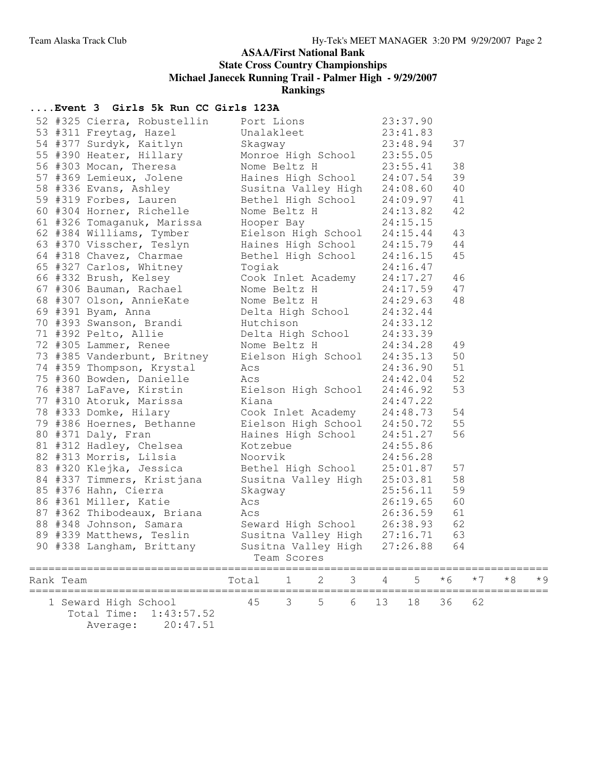### **ASAA/First National Bank**

**State Cross Country Championships**

**Michael Janecek Running Trail - Palmer High - 9/29/2007**

**Rankings**

### **....Event 3 Girls 5k Run CC Girls 123A**

|           | 52 #325 Cierra, Robustellin<br>1311 Freytag, Hazel Unalakleet 23:37.90<br>54 #377 Surdyk, Kaitlyn Skagway 23:41.83<br>55 #390 Heater, Hillary Monroe High School 23:55.05<br>56 #303 Mocan, Theresa Nome Beltz H 23:55.41 | Port Lions            |                                                                                                                                                                                                                                                 |   |   |    | 23:37.90 |     |     |    |  |
|-----------|---------------------------------------------------------------------------------------------------------------------------------------------------------------------------------------------------------------------------|-----------------------|-------------------------------------------------------------------------------------------------------------------------------------------------------------------------------------------------------------------------------------------------|---|---|----|----------|-----|-----|----|--|
|           |                                                                                                                                                                                                                           |                       |                                                                                                                                                                                                                                                 |   |   |    |          | 37  |     |    |  |
|           |                                                                                                                                                                                                                           |                       |                                                                                                                                                                                                                                                 |   |   |    |          | 38  |     |    |  |
|           | 57 #369 Lemieux, Jolene Haines High School 24:07.54                                                                                                                                                                       |                       | Nome Beltz H 23:55.41                                                                                                                                                                                                                           |   |   |    |          | 39  |     |    |  |
|           |                                                                                                                                                                                                                           |                       |                                                                                                                                                                                                                                                 |   |   |    |          | 40  |     |    |  |
|           | 58 #336 Evans, Ashley Susitna Valley High 24:08.60<br>59 #319 Forbes, Lauren Bethel High School 24:09.97                                                                                                                  |                       |                                                                                                                                                                                                                                                 |   |   |    |          | 41  |     |    |  |
|           | 60 #304 Horner, Richelle                                                                                                                                                                                                  |                       |                                                                                                                                                                                                                                                 |   |   |    |          | 42  |     |    |  |
|           |                                                                                                                                                                                                                           | Nome Beltz H 24:13.82 |                                                                                                                                                                                                                                                 |   |   |    |          |     |     |    |  |
|           |                                                                                                                                                                                                                           |                       |                                                                                                                                                                                                                                                 |   |   |    |          |     |     |    |  |
|           |                                                                                                                                                                                                                           |                       |                                                                                                                                                                                                                                                 |   |   |    |          |     |     |    |  |
|           |                                                                                                                                                                                                                           |                       |                                                                                                                                                                                                                                                 |   |   |    |          |     |     |    |  |
|           |                                                                                                                                                                                                                           |                       |                                                                                                                                                                                                                                                 |   |   |    |          |     |     |    |  |
|           |                                                                                                                                                                                                                           |                       |                                                                                                                                                                                                                                                 |   |   |    |          |     |     |    |  |
|           |                                                                                                                                                                                                                           |                       | 61 #326 Tomaganuk, Marissa<br>62 #384 Williams, Tymber<br>63 #370 Visscher, Teslyn<br>64 #318 Chavez, Charmae<br>65 #327 Carlos, Whitney<br>65 #327 Carlos, Whitney<br>66 #332 Brush, Kelsey<br>67 #306 Bauman, Rachael<br>67 #306 Bauman, Rac  |   |   |    |          |     |     |    |  |
|           |                                                                                                                                                                                                                           |                       |                                                                                                                                                                                                                                                 |   |   |    |          | 48  |     |    |  |
|           |                                                                                                                                                                                                                           |                       |                                                                                                                                                                                                                                                 |   |   |    |          |     |     |    |  |
|           | 70 #393 Swanson, Brandi Hutchison                                                                                                                                                                                         |                       |                                                                                                                                                                                                                                                 |   |   |    | 24:33.12 |     |     |    |  |
|           | 71 #392 Pelto, Allie belta High School 24:33.39                                                                                                                                                                           |                       |                                                                                                                                                                                                                                                 |   |   |    |          |     |     |    |  |
|           |                                                                                                                                                                                                                           |                       |                                                                                                                                                                                                                                                 |   |   |    | 24:34.28 | 49  |     |    |  |
|           | 72 #305 Lammer, Renee Mome Beltz H 24:34.28<br>73 #385 Vanderbunt, Britney Eielson High School 24:35.13                                                                                                                   |                       |                                                                                                                                                                                                                                                 |   |   |    |          | 50  |     |    |  |
|           | 74 #359 Thompson, Krystal Acs                                                                                                                                                                                             |                       |                                                                                                                                                                                                                                                 |   |   |    | 24:36.90 | 51  |     |    |  |
|           |                                                                                                                                                                                                                           |                       |                                                                                                                                                                                                                                                 |   |   |    |          | 52  |     |    |  |
|           |                                                                                                                                                                                                                           |                       | 75 #360 Bowden, Danielle<br>75 #360 Bowden, Danielle<br>76 #387 LaFave, Kirstin<br>77 #310 Atoruk, Marissa<br>78 #333 Domke, Hilary<br>79 #386 Hoernes, Bethanne<br>79 #386 Hoernes, Bethanne<br>80 #371 Daly, Fran<br>80 #371 Daly, Fran<br>81 |   |   |    |          | 53  |     |    |  |
|           |                                                                                                                                                                                                                           |                       |                                                                                                                                                                                                                                                 |   |   |    |          |     |     |    |  |
|           |                                                                                                                                                                                                                           |                       |                                                                                                                                                                                                                                                 |   |   |    |          | 54  |     |    |  |
|           |                                                                                                                                                                                                                           |                       |                                                                                                                                                                                                                                                 |   |   |    |          | 55  |     |    |  |
|           |                                                                                                                                                                                                                           |                       |                                                                                                                                                                                                                                                 |   |   |    |          | 56  |     |    |  |
|           |                                                                                                                                                                                                                           |                       |                                                                                                                                                                                                                                                 |   |   |    |          |     |     |    |  |
|           | 82 #313 Morris, Lilsia                                                                                                                                                                                                    |                       | 24:55.86<br>Noorvik                                                                                                                                                                                                                             |   |   |    | 24:56.28 |     |     |    |  |
|           | 83 #320 Klejka, Jessica bethel High School 25:01.87                                                                                                                                                                       |                       |                                                                                                                                                                                                                                                 |   |   |    |          | 57  |     |    |  |
|           |                                                                                                                                                                                                                           |                       |                                                                                                                                                                                                                                                 |   |   |    |          | 58  |     |    |  |
|           | 84 #337 Timmers, Kristjana Susitna Valley High 25:03.81<br>85 #376 Hahn, Cierra Skagway 25:56.11                                                                                                                          |                       |                                                                                                                                                                                                                                                 |   |   |    |          | 59  |     |    |  |
|           | 86 #361 Miller, Katie                                                                                                                                                                                                     | Acs                   |                                                                                                                                                                                                                                                 |   |   |    | 26:19.65 | 60  |     |    |  |
|           |                                                                                                                                                                                                                           |                       |                                                                                                                                                                                                                                                 |   |   |    |          | 61  |     |    |  |
|           | % 4362 Thibodeaux, Briana<br>87 #362 Thibodeaux, Briana<br>88 #348 Johnson, Samara<br>89 #339 Matthews, Teslin<br>90 #338 Langham, Brittany<br>81 Susitna Valley High 27:26.88                                            |                       |                                                                                                                                                                                                                                                 |   |   |    |          | 62  |     |    |  |
|           |                                                                                                                                                                                                                           |                       |                                                                                                                                                                                                                                                 |   |   |    |          | 63  |     |    |  |
|           |                                                                                                                                                                                                                           |                       |                                                                                                                                                                                                                                                 |   |   |    |          | 64  |     |    |  |
|           |                                                                                                                                                                                                                           |                       | Team Scores                                                                                                                                                                                                                                     |   |   |    |          |     |     |    |  |
| Rank Team |                                                                                                                                                                                                                           | Total                 | $\perp$                                                                                                                                                                                                                                         | 2 | З |    | 5        | * 6 | * 7 | *8 |  |
|           | 1 Seward High School<br>Total Time:<br>1:43:57.52<br>20:47.51<br>Average:                                                                                                                                                 | 45                    | 3                                                                                                                                                                                                                                               | 5 | 6 | 13 | 18       | 36  | 62  |    |  |